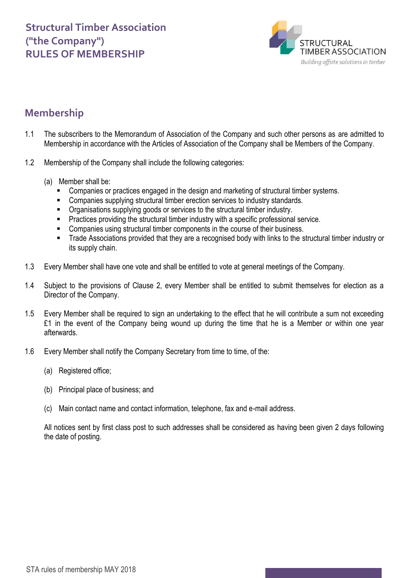**Structural Timber Association ("the Company") RULES OF MEMBERSHIP**



#### **Membership**

- 1.1 The subscribers to the Memorandum of Association of the Company and such other persons as are admitted to Membership in accordance with the Articles of Association of the Company shall be Members of the Company.
- 1.2 Membership of the Company shall include the following categories:
	- (a) Member shall be:
		- Companies or practices engaged in the design and marketing of structural timber systems.
		- Companies supplying structural timber erection services to industry standards.
		- Organisations supplying goods or services to the structural timber industry.
		- Practices providing the structural timber industry with a specific professional service.
		- Companies using structural timber components in the course of their business.
		- Trade Associations provided that they are a recognised body with links to the structural timber industry or its supply chain.
- 1.3 Every Member shall have one vote and shall be entitled to vote at general meetings of the Company.
- 1.4 Subject to the provisions of Clause 2, every Member shall be entitled to submit themselves for election as a Director of the Company.
- 1.5 Every Member shall be required to sign an undertaking to the effect that he will contribute a sum not exceeding £1 in the event of the Company being wound up during the time that he is a Member or within one year afterwards.
- 1.6 Every Member shall notify the Company Secretary from time to time, of the:
	- (a) Registered office;
	- (b) Principal place of business; and
	- (c) Main contact name and contact information, telephone, fax and e-mail address.

All notices sent by first class post to such addresses shall be considered as having been given 2 days following the date of posting.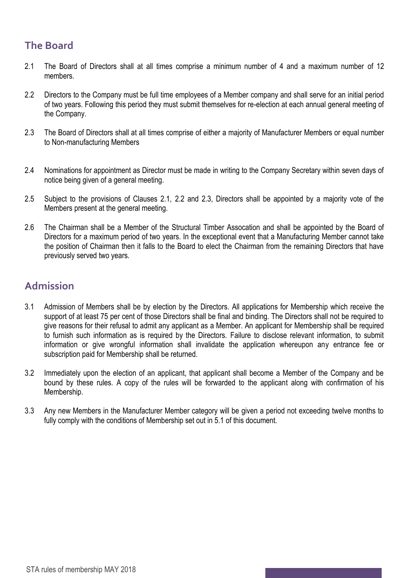### **The Board**

- 2.1 The Board of Directors shall at all times comprise a minimum number of 4 and a maximum number of 12 members.
- 2.2 Directors to the Company must be full time employees of a Member company and shall serve for an initial period of two years. Following this period they must submit themselves for re-election at each annual general meeting of the Company.
- 2.3 The Board of Directors shall at all times comprise of either a majority of Manufacturer Members or equal number to Non-manufacturing Members
- 2.4 Nominations for appointment as Director must be made in writing to the Company Secretary within seven days of notice being given of a general meeting.
- 2.5 Subject to the provisions of Clauses 2.1, 2.2 and 2.3, Directors shall be appointed by a majority vote of the Members present at the general meeting.
- 2.6 The Chairman shall be a Member of the Structural Timber Assocation and shall be appointed by the Board of Directors for a maximum period of two years. In the exceptional event that a Manufacturing Member cannot take the position of Chairman then it falls to the Board to elect the Chairman from the remaining Directors that have previously served two years.

#### **Admission**

- 3.1 Admission of Members shall be by election by the Directors. All applications for Membership which receive the support of at least 75 per cent of those Directors shall be final and binding. The Directors shall not be required to give reasons for their refusal to admit any applicant as a Member. An applicant for Membership shall be required to furnish such information as is required by the Directors. Failure to disclose relevant information, to submit information or give wrongful information shall invalidate the application whereupon any entrance fee or subscription paid for Membership shall be returned.
- 3.2 Immediately upon the election of an applicant, that applicant shall become a Member of the Company and be bound by these rules. A copy of the rules will be forwarded to the applicant along with confirmation of his Membership.
- 3.3 Any new Members in the Manufacturer Member category will be given a period not exceeding twelve months to fully comply with the conditions of Membership set out in 5.1 of this document.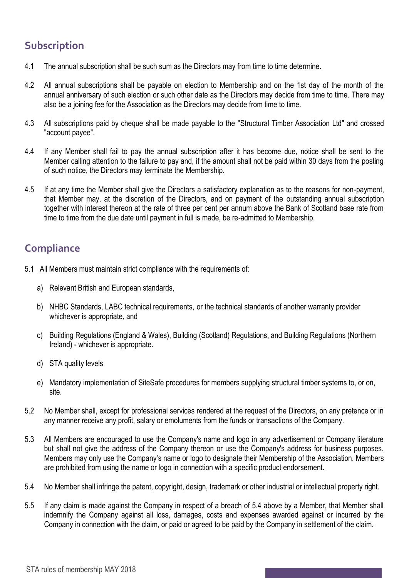# **Subscription**

- 4.1 The annual subscription shall be such sum as the Directors may from time to time determine.
- 4.2 All annual subscriptions shall be payable on election to Membership and on the 1st day of the month of the annual anniversary of such election or such other date as the Directors may decide from time to time. There may also be a joining fee for the Association as the Directors may decide from time to time.
- 4.3 All subscriptions paid by cheque shall be made payable to the "Structural Timber Association Ltd" and crossed "account payee".
- 4.4 If any Member shall fail to pay the annual subscription after it has become due, notice shall be sent to the Member calling attention to the failure to pay and, if the amount shall not be paid within 30 days from the posting of such notice, the Directors may terminate the Membership.
- 4.5 If at any time the Member shall give the Directors a satisfactory explanation as to the reasons for non-payment, that Member may, at the discretion of the Directors, and on payment of the outstanding annual subscription together with interest thereon at the rate of three per cent per annum above the Bank of Scotland base rate from time to time from the due date until payment in full is made, be re-admitted to Membership.

## **Compliance**

- 5.1 All Members must maintain strict compliance with the requirements of:
	- a) Relevant British and European standards,
	- b) NHBC Standards, LABC technical requirements, or the technical standards of another warranty provider whichever is appropriate, and
	- c) Building Regulations (England & Wales), Building (Scotland) Regulations, and Building Regulations (Northern Ireland) - whichever is appropriate.
	- d) STA quality levels
	- e) Mandatory implementation of SiteSafe procedures for members supplying structural timber systems to, or on, site.
- 5.2 No Member shall, except for professional services rendered at the request of the Directors, on any pretence or in any manner receive any profit, salary or emoluments from the funds or transactions of the Company.
- 5.3 All Members are encouraged to use the Company's name and logo in any advertisement or Company literature but shall not give the address of the Company thereon or use the Company's address for business purposes. Members may only use the Company's name or logo to designate their Membership of the Association. Members are prohibited from using the name or logo in connection with a specific product endorsement.
- 5.4 No Member shall infringe the patent, copyright, design, trademark or other industrial or intellectual property right.
- 5.5 If any claim is made against the Company in respect of a breach of 5.4 above by a Member, that Member shall indemnify the Company against all loss, damages, costs and expenses awarded against or incurred by the Company in connection with the claim, or paid or agreed to be paid by the Company in settlement of the claim.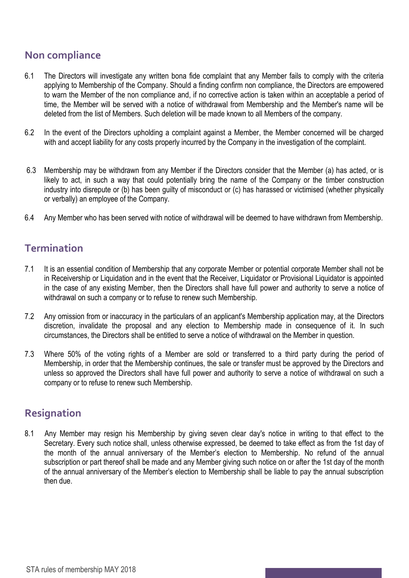### **Non compliance**

- 6.1 The Directors will investigate any written bona fide complaint that any Member fails to comply with the criteria applying to Membership of the Company. Should a finding confirm non compliance, the Directors are empowered to warn the Member of the non compliance and, if no corrective action is taken within an acceptable a period of time, the Member will be served with a notice of withdrawal from Membership and the Member's name will be deleted from the list of Members. Such deletion will be made known to all Members of the company.
- 6.2 In the event of the Directors upholding a complaint against a Member, the Member concerned will be charged with and accept liability for any costs properly incurred by the Company in the investigation of the complaint.
- 6.3 Membership may be withdrawn from any Member if the Directors consider that the Member (a) has acted, or is likely to act, in such a way that could potentially bring the name of the Company or the timber construction industry into disrepute or (b) has been guilty of misconduct or (c) has harassed or victimised (whether physically or verbally) an employee of the Company.
- 6.4 Any Member who has been served with notice of withdrawal will be deemed to have withdrawn from Membership.

#### **Termination**

- 7.1 It is an essential condition of Membership that any corporate Member or potential corporate Member shall not be in Receivership or Liquidation and in the event that the Receiver, Liquidator or Provisional Liquidator is appointed in the case of any existing Member, then the Directors shall have full power and authority to serve a notice of withdrawal on such a company or to refuse to renew such Membership.
- 7.2 Any omission from or inaccuracy in the particulars of an applicant's Membership application may, at the Directors discretion, invalidate the proposal and any election to Membership made in consequence of it. In such circumstances, the Directors shall be entitled to serve a notice of withdrawal on the Member in question.
- 7.3 Where 50% of the voting rights of a Member are sold or transferred to a third party during the period of Membership, in order that the Membership continues, the sale or transfer must be approved by the Directors and unless so approved the Directors shall have full power and authority to serve a notice of withdrawal on such a company or to refuse to renew such Membership.

#### **Resignation**

8.1 Any Member may resign his Membership by giving seven clear day's notice in writing to that effect to the Secretary. Every such notice shall, unless otherwise expressed, be deemed to take effect as from the 1st day of the month of the annual anniversary of the Member's election to Membership. No refund of the annual subscription or part thereof shall be made and any Member giving such notice on or after the 1st day of the month of the annual anniversary of the Member's election to Membership shall be liable to pay the annual subscription then due.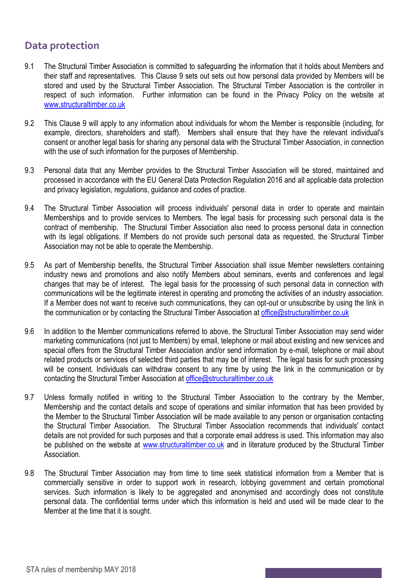#### **Data protection**

- 9.1 The Structural Timber Association is committed to safeguarding the information that it holds about Members and their staff and representatives. This Clause 9 sets out sets out how personal data provided by Members will be stored and used by the Structural Timber Association. The Structural Timber Association is the controller in respect of such information. Further information can be found in the Privacy Policy on the website at [www.structuraltimber.co.uk](http://www.structuraltimber.co.uk/)
- 9.2 This Clause 9 will apply to any information about individuals for whom the Member is responsible (including, for example, directors, shareholders and staff). Members shall ensure that they have the relevant individual's consent or another legal basis for sharing any personal data with the Structural Timber Association, in connection with the use of such information for the purposes of Membership.
- 9.3 Personal data that any Member provides to the Structural Timber Association will be stored, maintained and processed in accordance with the EU General Data Protection Regulation 2016 and all applicable data protection and privacy legislation, regulations, guidance and codes of practice.
- 9.4 The Structural Timber Association will process individuals' personal data in order to operate and maintain Memberships and to provide services to Members. The legal basis for processing such personal data is the contract of membership. The Structural Timber Association also need to process personal data in connection with its legal obligations. If Members do not provide such personal data as requested, the Structural Timber Association may not be able to operate the Membership.
- 9.5 As part of Membership benefits, the Structural Timber Association shall issue Member newsletters containing industry news and promotions and also notify Members about seminars, events and conferences and legal changes that may be of interest. The legal basis for the processing of such personal data in connection with communications will be the legitimate interest in operating and promoting the activities of an industry association. If a Member does not want to receive such communications, they can opt-out or unsubscribe by using the link in the communication or by contacting the Structural Timber Association at [office@structuraltimber.co.uk](mailto:office@structuraltimber.co.uk)
- 9.6 In addition to the Member communications referred to above, the Structural Timber Association may send wider marketing communications (not just to Members) by email, telephone or mail about existing and new services and special offers from the Structural Timber Association and/or send information by e-mail, telephone or mail about related products or services of selected third parties that may be of interest. The legal basis for such processing will be consent. Individuals can withdraw consent to any time by using the link in the communication or by contacting the Structural Timber Association at [office@structuraltimber.co.uk](mailto:office@structuraltimber.co.uk)
- 9.7 Unless formally notified in writing to the Structural Timber Association to the contrary by the Member, Membership and the contact details and scope of operations and similar information that has been provided by the Member to the Structural Timber Association will be made available to any person or organisation contacting the Structural Timber Association. The Structural Timber Association recommends that individuals' contact details are not provided for such purposes and that a corporate email address is used. This information may also be published on the website at [www.structuraltimber.co.uk](http://www.structuraltimber.co.uk/) and in literature produced by the Structural Timber Association.
- 9.8 The Structural Timber Association may from time to time seek statistical information from a Member that is commercially sensitive in order to support work in research, lobbying government and certain promotional services. Such information is likely to be aggregated and anonymised and accordingly does not constitute personal data. The confidential terms under which this information is held and used will be made clear to the Member at the time that it is sought.